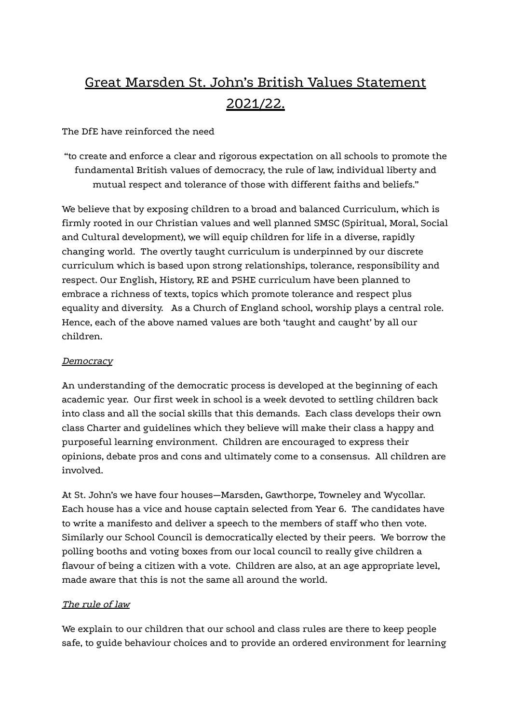# Great Marsden St. John's British Values Statement 2021/22.

The DfE have reinforced the need

"to create and enforce a clear and rigorous expectation on all schools to promote the fundamental British values of democracy, the rule of law, individual liberty and mutual respect and tolerance of those with different faiths and beliefs."

We believe that by exposing children to a broad and balanced Curriculum, which is firmly rooted in our Christian values and well planned SMSC (Spiritual, Moral, Social and Cultural development), we will equip children for life in a diverse, rapidly changing world. The overtly taught curriculum is underpinned by our discrete curriculum which is based upon strong relationships, tolerance, responsibility and respect. Our English, History, RE and PSHE curriculum have been planned to embrace a richness of texts, topics which promote tolerance and respect plus equality and diversity. As a Church of England school, worship plays a central role. Hence, each of the above named values are both 'taught and caught' by all our children.

#### **Democracy**

An understanding of the democratic process is developed at the beginning of each academic year. Our first week in school is a week devoted to settling children back into class and all the social skills that this demands. Each class develops their own class Charter and guidelines which they believe will make their class a happy and purposeful learning environment. Children are encouraged to express their opinions, debate pros and cons and ultimately come to a consensus. All children are involved.

At St. John's we have four houses—Marsden, Gawthorpe, Towneley and Wycollar. Each house has a vice and house captain selected from Year 6. The candidates have to write a manifesto and deliver a speech to the members of staff who then vote. Similarly our School Council is democratically elected by their peers. We borrow the polling booths and voting boxes from our local council to really give children a flavour of being a citizen with a vote. Children are also, at an age appropriate level, made aware that this is not the same all around the world.

#### The rule of law

We explain to our children that our school and class rules are there to keep people safe, to guide behaviour choices and to provide an ordered environment for learning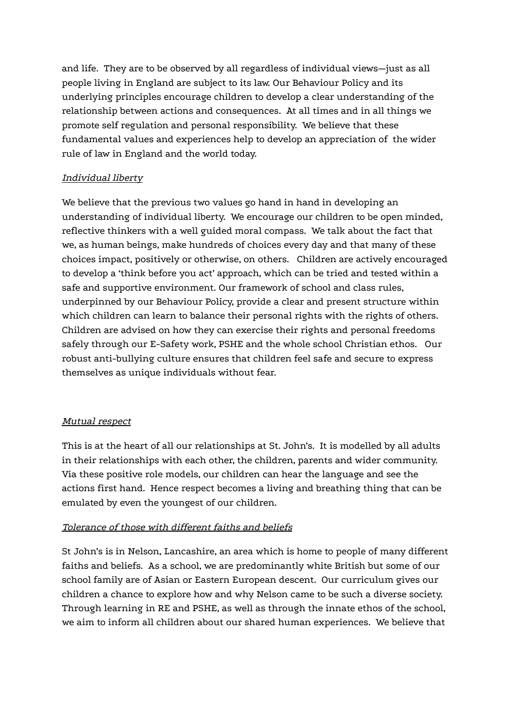and life. They are to be observed by all regardless of individual views—just as all people living in England are subject to its law. Our Behaviour Policy and its underlying principles encourage children to develop a clear understanding of the relationship between actions and consequences. At all times and in all things we promote self regulation and personal responsibility. We believe that these fundamental values and experiences help to develop an appreciation of the wider rule of law in England and the world today.

## Individual liberty

We believe that the previous two values go hand in hand in developing an understanding of individual liberty. We encourage our children to be open minded, reflective thinkers with a well guided moral compass. We talk about the fact that we, as human beings, make hundreds of choices every day and that many of these choices impact, positively or otherwise, on others. Children are actively encouraged to develop a 'think before you act' approach, which can be tried and tested within a safe and supportive environment. Our framework of school and class rules, underpinned by our Behaviour Policy, provide a clear and present structure within which children can learn to balance their personal rights with the rights of others. Children are advised on how they can exercise their rights and personal freedoms safely through our E-Safety work, PSHE and the whole school Christian ethos. Our robust anti-bullying culture ensures that children feel safe and secure to express themselves as unique individuals without fear.

#### Mutual respect

This is at the heart of all our relationships at St. John's. It is modelled by all adults in their relationships with each other, the children, parents and wider community. Via these positive role models, our children can hear the language and see the actions first hand. Hence respect becomes a living and breathing thing that can be emulated by even the youngest of our children.

#### Tolerance of those with different faiths and beliefs

St John's is in Nelson, Lancashire, an area which is home to people of many different faiths and beliefs. As a school, we are predominantly white British but some of our school family are of Asian or Eastern European descent. Our curriculum gives our children a chance to explore how and why Nelson came to be such a diverse society. Through learning in RE and PSHE, as well as through the innate ethos of the school, we aim to inform all children about our shared human experiences. We believe that